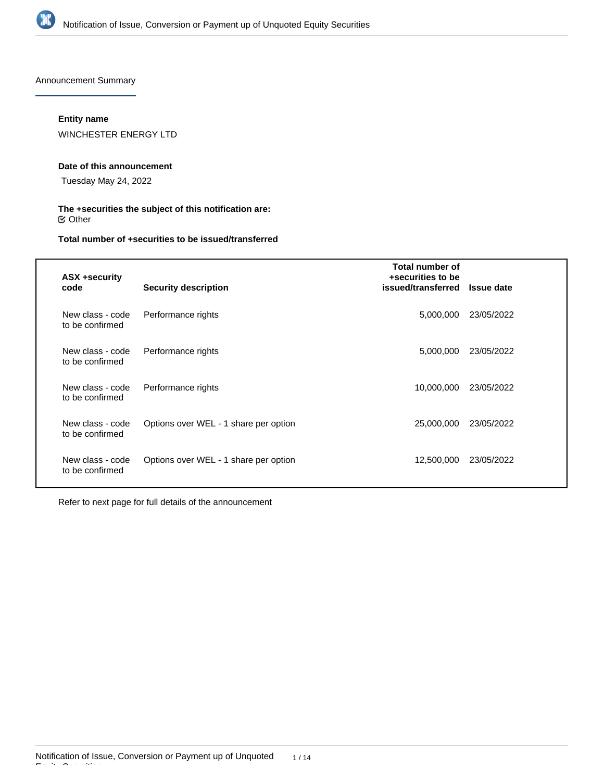

Announcement Summary

# **Entity name**

WINCHESTER ENERGY LTD

## **Date of this announcement**

Tuesday May 24, 2022

# **The +securities the subject of this notification are:**  $\mathfrak S$  Other

# **Total number of +securities to be issued/transferred**

| ASX +security<br>code               | Security description                  | Total number of<br>+securities to be<br>issued/transferred | <b>Issue date</b> |
|-------------------------------------|---------------------------------------|------------------------------------------------------------|-------------------|
| New class - code<br>to be confirmed | Performance rights                    | 5,000,000                                                  | 23/05/2022        |
| New class - code<br>to be confirmed | Performance rights                    | 5,000,000                                                  | 23/05/2022        |
| New class - code<br>to be confirmed | Performance rights                    | 10,000,000                                                 | 23/05/2022        |
| New class - code<br>to be confirmed | Options over WEL - 1 share per option | 25,000,000                                                 | 23/05/2022        |
| New class - code<br>to be confirmed | Options over WEL - 1 share per option | 12,500,000                                                 | 23/05/2022        |

Refer to next page for full details of the announcement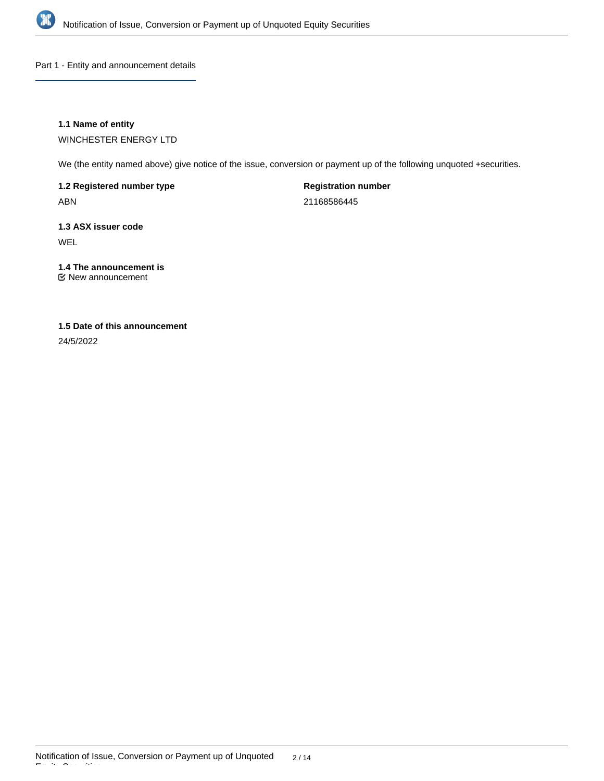

Part 1 - Entity and announcement details

# **1.1 Name of entity**

WINCHESTER ENERGY LTD

We (the entity named above) give notice of the issue, conversion or payment up of the following unquoted +securities.

**1.2 Registered number type**

ABN

**Registration number**

21168586445

**1.3 ASX issuer code** WEL

# **1.4 The announcement is**

New announcement

# **1.5 Date of this announcement**

24/5/2022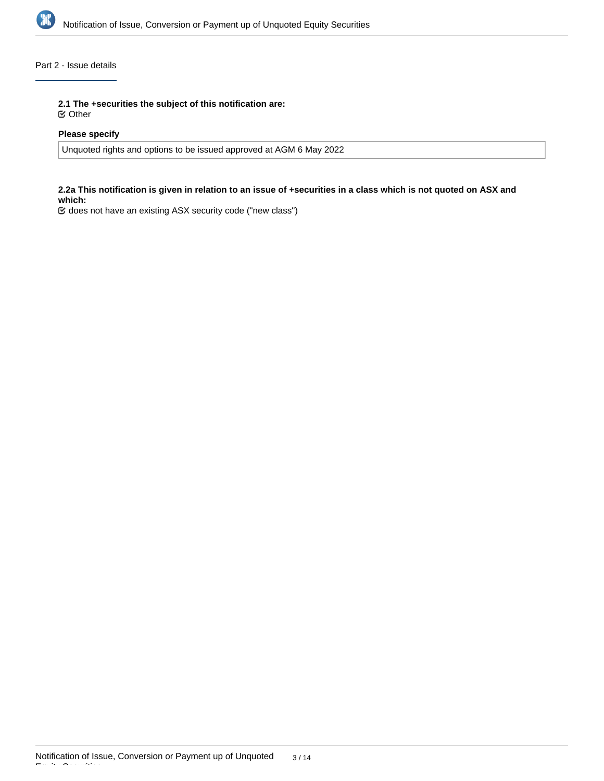

# Part 2 - Issue details

**2.1 The +securities the subject of this notification are:**

Other

# **Please specify**

Unquoted rights and options to be issued approved at AGM 6 May 2022

# **2.2a This notification is given in relation to an issue of +securities in a class which is not quoted on ASX and which:**

does not have an existing ASX security code ("new class")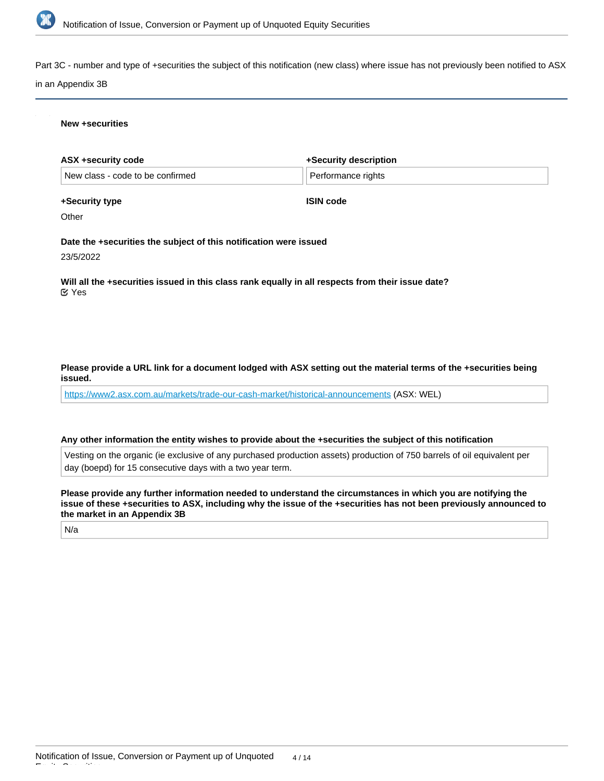

Part 3C - number and type of +securities the subject of this notification (new class) where issue has not previously been notified to ASX

#### in an Appendix 3B

#### **New +securities**

| ASX +security code                                                | +Security description |  |  |
|-------------------------------------------------------------------|-----------------------|--|--|
| New class - code to be confirmed                                  | Performance rights    |  |  |
| +Security type<br>Other                                           | <b>ISIN code</b>      |  |  |
| Date the +securities the subject of this notification were issued |                       |  |  |

23/5/2022

**Will all the +securities issued in this class rank equally in all respects from their issue date?** Yes

# **Please provide a URL link for a document lodged with ASX setting out the material terms of the +securities being issued.**

<https://www2.asx.com.au/markets/trade-our-cash-market/historical-announcements>(ASX: WEL)

#### **Any other information the entity wishes to provide about the +securities the subject of this notification**

Vesting on the organic (ie exclusive of any purchased production assets) production of 750 barrels of oil equivalent per day (boepd) for 15 consecutive days with a two year term.

**Please provide any further information needed to understand the circumstances in which you are notifying the issue of these +securities to ASX, including why the issue of the +securities has not been previously announced to the market in an Appendix 3B**

N/a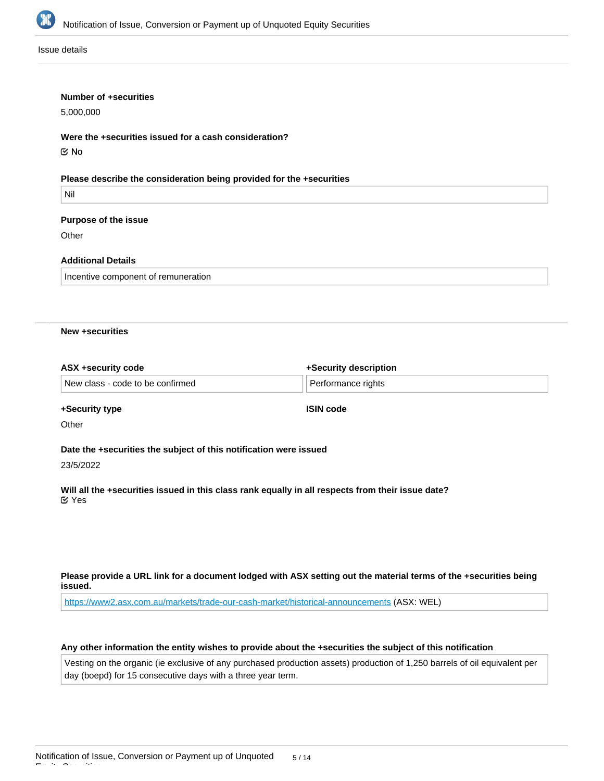

Issue details

## **Number of +securities**

5,000,000

**Were the +securities issued for a cash consideration?** No

#### **Please describe the consideration being provided for the +securities**

Nil

## **Purpose of the issue**

**Other** 

## **Additional Details**

Incentive component of remuneration

# **New +securities**

| ASX +security code               | +Security description |
|----------------------------------|-----------------------|
| New class - code to be confirmed | Performance rights    |

#### **+Security type**

**ISIN code**

**Other** 

## **Date the +securities the subject of this notification were issued**

23/5/2022

Equity Securities

**Will all the +securities issued in this class rank equally in all respects from their issue date?** Yes

**Please provide a URL link for a document lodged with ASX setting out the material terms of the +securities being issued.**

<https://www2.asx.com.au/markets/trade-our-cash-market/historical-announcements>(ASX: WEL)

#### **Any other information the entity wishes to provide about the +securities the subject of this notification**

Vesting on the organic (ie exclusive of any purchased production assets) production of 1,250 barrels of oil equivalent per day (boepd) for 15 consecutive days with a three year term.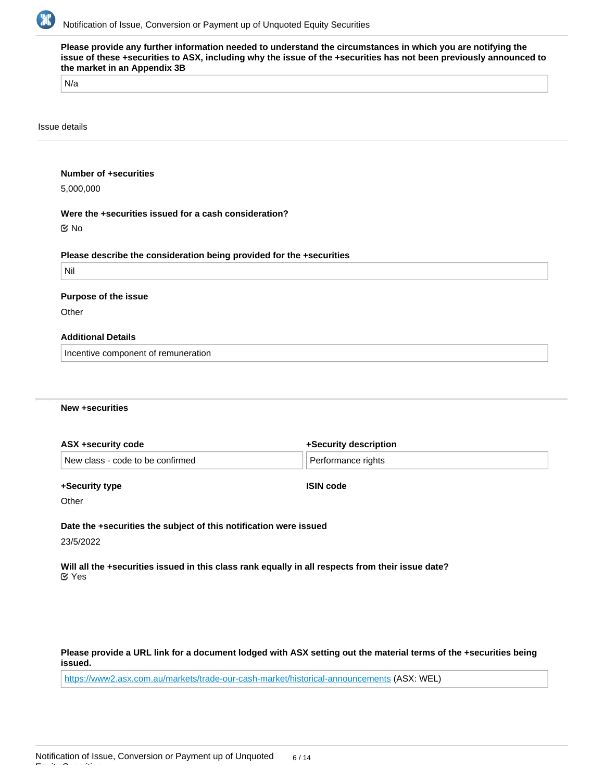

| N/a                                                                         |                       |
|-----------------------------------------------------------------------------|-----------------------|
| Issue details                                                               |                       |
| <b>Number of +securities</b>                                                |                       |
| 5,000,000                                                                   |                       |
| Were the +securities issued for a cash consideration?                       |                       |
| $\mathfrak{C}$ No                                                           |                       |
| Please describe the consideration being provided for the +securities<br>Nil |                       |
|                                                                             |                       |
| Purpose of the issue<br>Other                                               |                       |
|                                                                             |                       |
| <b>Additional Details</b>                                                   |                       |
| Incentive component of remuneration                                         |                       |
| <b>New +securities</b>                                                      |                       |
| ASX +security code                                                          | +Security description |
| New class - code to be confirmed                                            | Performance rights    |

#### **+Security type**

**ISIN code**

**Other** 

**Date the +securities the subject of this notification were issued**

23/5/2022

Equity Securities

**Will all the +securities issued in this class rank equally in all respects from their issue date?** Yes

**Please provide a URL link for a document lodged with ASX setting out the material terms of the +securities being issued.**

<https://www2.asx.com.au/markets/trade-our-cash-market/historical-announcements>(ASX: WEL)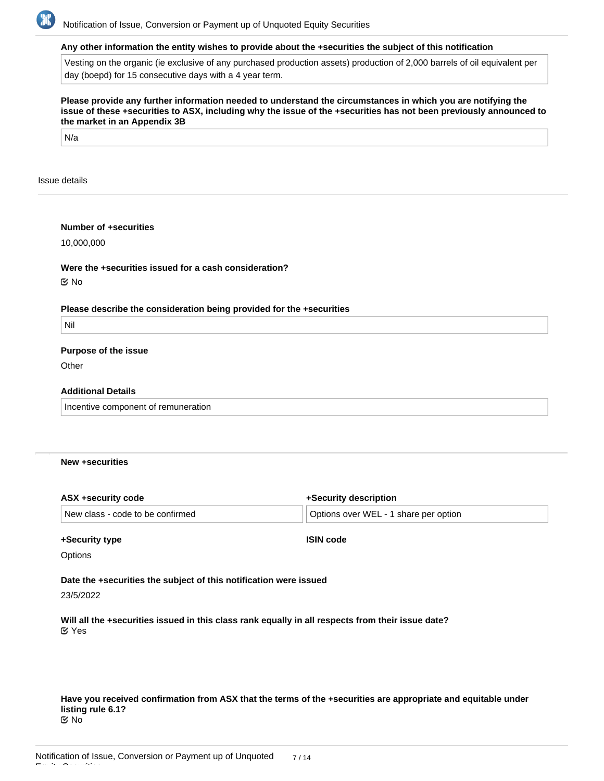

#### **Any other information the entity wishes to provide about the +securities the subject of this notification**

Vesting on the organic (ie exclusive of any purchased production assets) production of 2,000 barrels of oil equivalent per day (boepd) for 15 consecutive days with a 4 year term.

## **Please provide any further information needed to understand the circumstances in which you are notifying the issue of these +securities to ASX, including why the issue of the +securities has not been previously announced to the market in an Appendix 3B**

N/a

Issue details

# **Number of +securities**

10,000,000

#### **Were the +securities issued for a cash consideration?**

No

#### **Please describe the consideration being provided for the +securities**

Nil

## **Purpose of the issue**

**Other** 

# **Additional Details**

Incentive component of remuneration

# **New +securities**

| ASX +security code               | +Security description                 |
|----------------------------------|---------------------------------------|
| New class - code to be confirmed | Options over WEL - 1 share per option |

#### **+Security type**

**ISIN code**

**Options** 

## **Date the +securities the subject of this notification were issued**

23/5/2022

**Will all the +securities issued in this class rank equally in all respects from their issue date?** Yes

**Have you received confirmation from ASX that the terms of the +securities are appropriate and equitable under listing rule 6.1?** No

**Please provide a URL link for a document lodged with ASX setting out the material terms of the +securities being**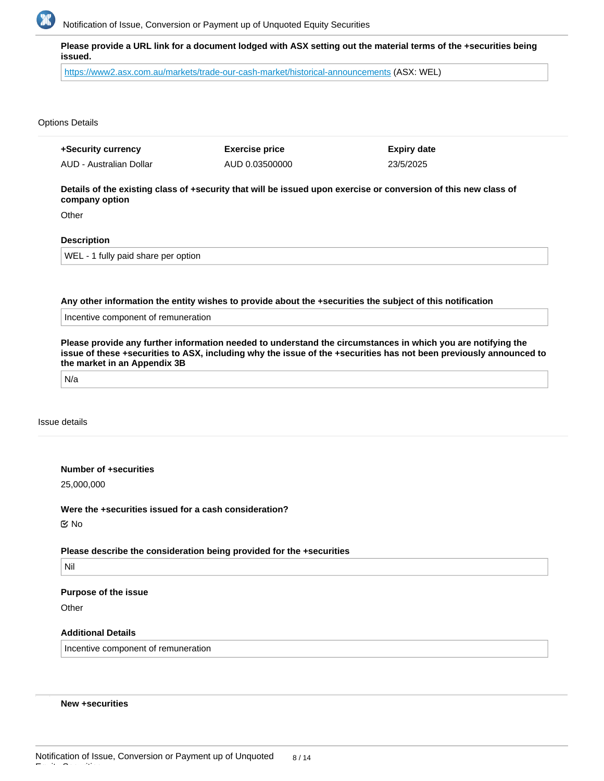

**Please provide a URL link for a document lodged with ASX setting out the material terms of the +securities being issued.**

<https://www2.asx.com.au/markets/trade-our-cash-market/historical-announcements>(ASX: WEL)

#### Options Details

| +Security currency      | <b>Exercise price</b> | Expiry date |
|-------------------------|-----------------------|-------------|
| AUD - Australian Dollar | AUD 0.03500000        | 23/5/2025   |

**Details of the existing class of +security that will be issued upon exercise or conversion of this new class of company option**

**Other** 

# **Description**

WEL - 1 fully paid share per option

#### **Any other information the entity wishes to provide about the +securities the subject of this notification**

Incentive component of remuneration

**Please provide any further information needed to understand the circumstances in which you are notifying the issue of these +securities to ASX, including why the issue of the +securities has not been previously announced to the market in an Appendix 3B**

N/a

Issue details

**Number of +securities** 25,000,000

**Were the +securities issued for a cash consideration?** No

**Please describe the consideration being provided for the +securities**

Nil

#### **Purpose of the issue**

**Other** 

Equity Securities

## **Additional Details**

Incentive component of remuneration

**New +securities**

**ASX +security code +Security description**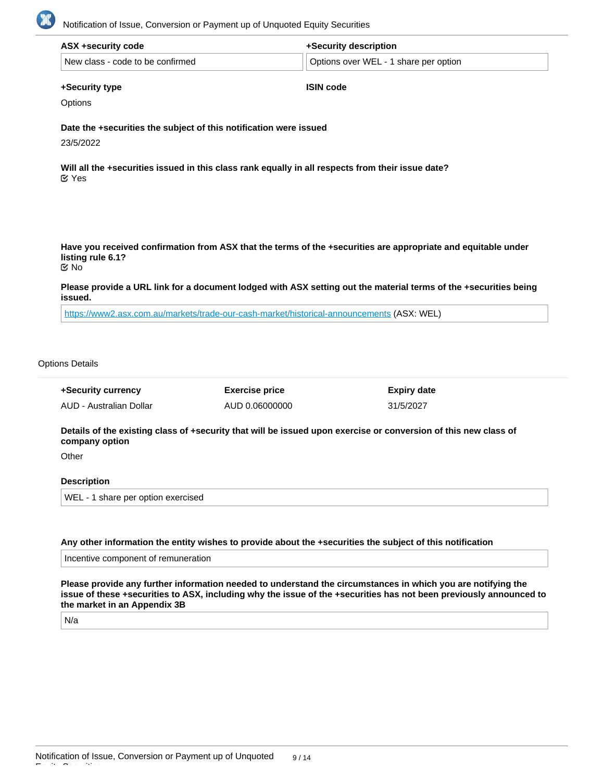

Notification of Issue, Conversion or Payment up of Unquoted Equity Securities

| ASX +security code               | +Security description                 |
|----------------------------------|---------------------------------------|
| New class - code to be confirmed | Options over WEL - 1 share per option |

## **+Security type**

**ISIN code**

**Options** 

**Date the +securities the subject of this notification were issued**

23/5/2022

**Will all the +securities issued in this class rank equally in all respects from their issue date?** Yes

**Have you received confirmation from ASX that the terms of the +securities are appropriate and equitable under listing rule 6.1?** No

**Please provide a URL link for a document lodged with ASX setting out the material terms of the +securities being issued.**

<https://www2.asx.com.au/markets/trade-our-cash-market/historical-announcements>(ASX: WEL)

## Options Details

**+Security currency**

AUD - Australian Dollar

**Exercise price** AUD 0.06000000 **Expiry date** 31/5/2027

**Details of the existing class of +security that will be issued upon exercise or conversion of this new class of company option**

**Other** 

#### **Description**

WEL - 1 share per option exercised

#### **Any other information the entity wishes to provide about the +securities the subject of this notification**

Incentive component of remuneration

**Please provide any further information needed to understand the circumstances in which you are notifying the issue of these +securities to ASX, including why the issue of the +securities has not been previously announced to the market in an Appendix 3B**

N/a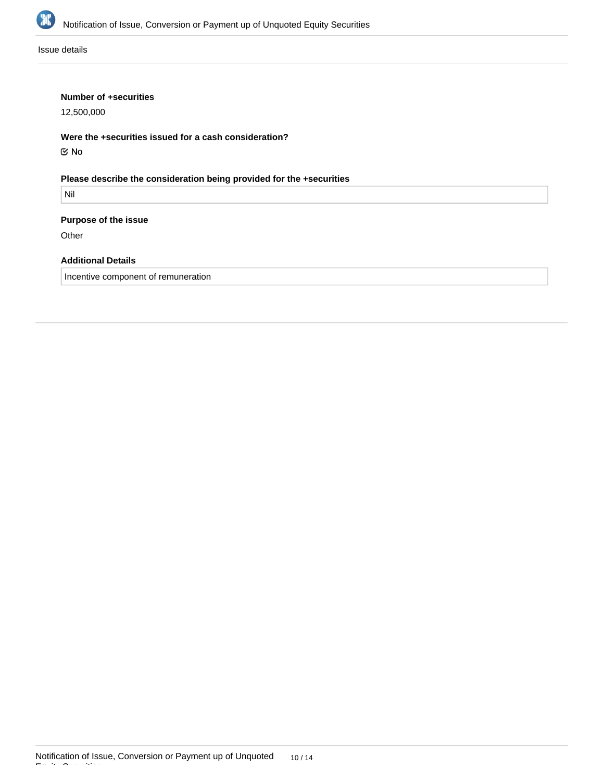

Issue details

# **Number of +securities**

12,500,000

**Were the +securities issued for a cash consideration?** No

**Please describe the consideration being provided for the +securities**

Nil

**Purpose of the issue**

**Other** 

# **Additional Details**

Incentive component of remuneration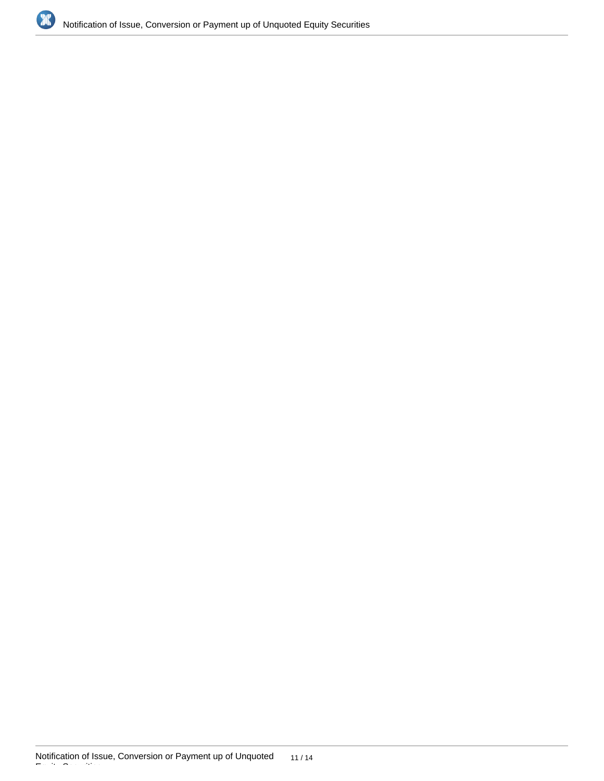

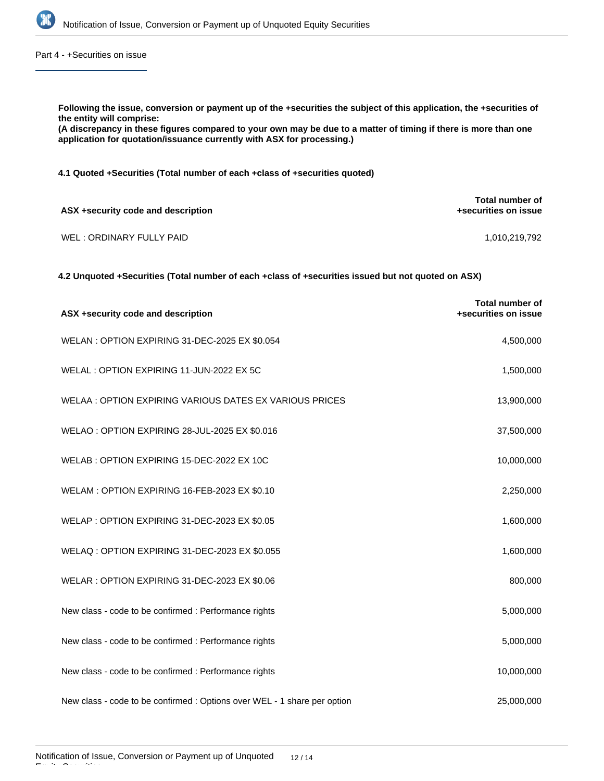

Part 4 - +Securities on issue

**Following the issue, conversion or payment up of the +securities the subject of this application, the +securities of the entity will comprise:**

**(A discrepancy in these figures compared to your own may be due to a matter of timing if there is more than one application for quotation/issuance currently with ASX for processing.)**

**4.1 Quoted +Securities (Total number of each +class of +securities quoted)**

| ASX +security code and description | Total number of<br>+securities on issue |
|------------------------------------|-----------------------------------------|
| WEL: ORDINARY FULLY PAID           | 1.010.219.792                           |

**4.2 Unquoted +Securities (Total number of each +class of +securities issued but not quoted on ASX)**

| ASX +security code and description                                       | <b>Total number of</b><br>+securities on issue |
|--------------------------------------------------------------------------|------------------------------------------------|
| WELAN: OPTION EXPIRING 31-DEC-2025 EX \$0.054                            | 4,500,000                                      |
| WELAL: OPTION EXPIRING 11-JUN-2022 EX 5C                                 | 1,500,000                                      |
| WELAA: OPTION EXPIRING VARIOUS DATES EX VARIOUS PRICES                   | 13,900,000                                     |
| WELAO: OPTION EXPIRING 28-JUL-2025 EX \$0.016                            | 37,500,000                                     |
| WELAB: OPTION EXPIRING 15-DEC-2022 EX 10C                                | 10,000,000                                     |
| WELAM: OPTION EXPIRING 16-FEB-2023 EX \$0.10                             | 2,250,000                                      |
| WELAP: OPTION EXPIRING 31-DEC-2023 EX \$0.05                             | 1,600,000                                      |
| WELAQ: OPTION EXPIRING 31-DEC-2023 EX \$0.055                            | 1,600,000                                      |
| WELAR: OPTION EXPIRING 31-DEC-2023 EX \$0.06                             | 800,000                                        |
| New class - code to be confirmed : Performance rights                    | 5,000,000                                      |
| New class - code to be confirmed : Performance rights                    | 5,000,000                                      |
| New class - code to be confirmed : Performance rights                    | 10,000,000                                     |
| New class - code to be confirmed : Options over WEL - 1 share per option | 25,000,000                                     |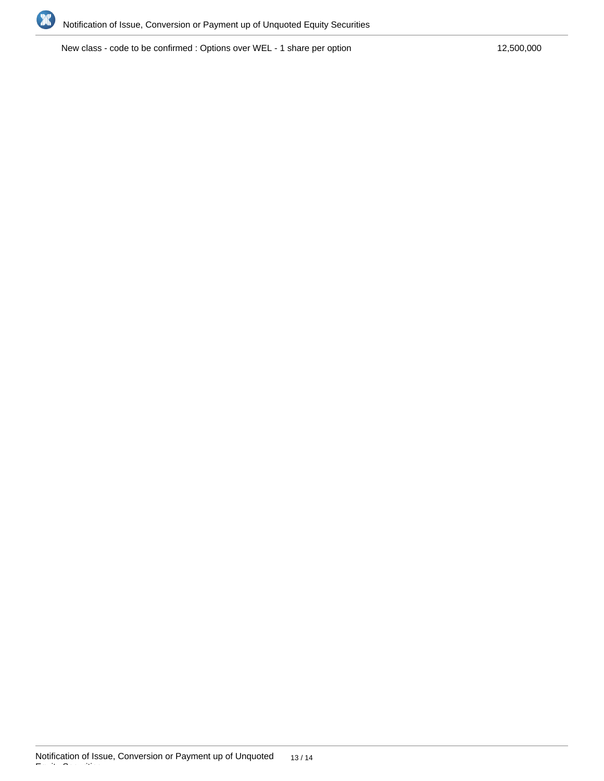

New class - code to be confirmed : Options over WEL - 1 share per option 12,500,000 12,500,000